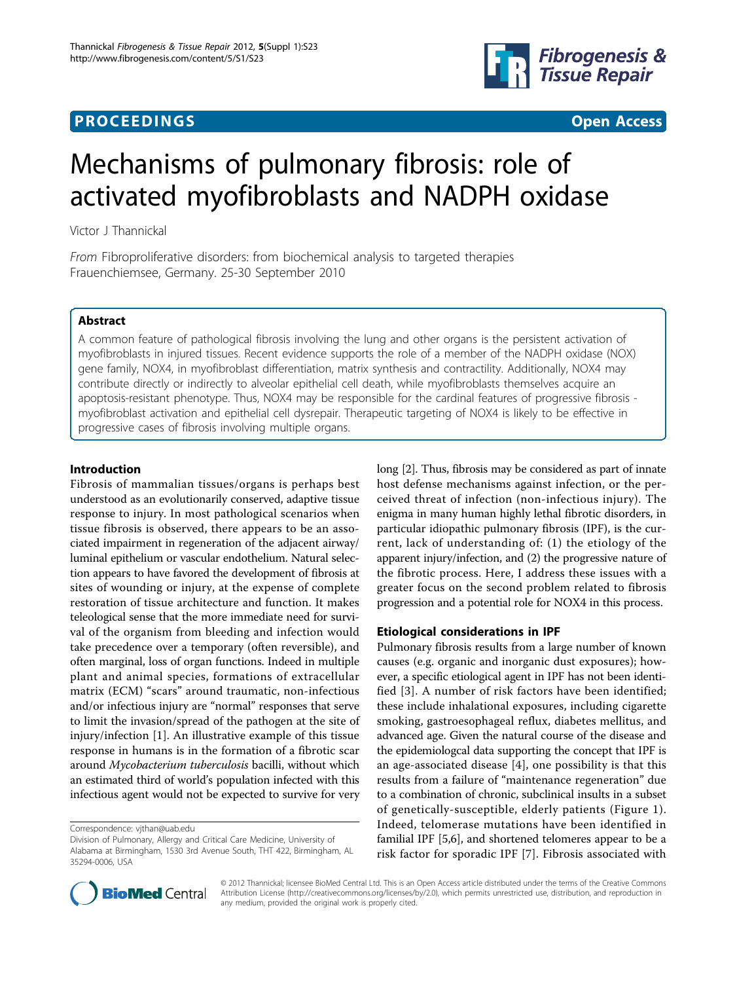## **PROCEEDINGS CONSUMING S** Open Access **CONSUMING S**



# Mechanisms of pulmonary fibrosis: role of activated myofibroblasts and NADPH oxidase

Victor J Thannickal

From Fibroproliferative disorders: from biochemical analysis to targeted therapies Frauenchiemsee, Germany. 25-30 September 2010

## Abstract

A common feature of pathological fibrosis involving the lung and other organs is the persistent activation of myofibroblasts in injured tissues. Recent evidence supports the role of a member of the NADPH oxidase (NOX) gene family, NOX4, in myofibroblast differentiation, matrix synthesis and contractility. Additionally, NOX4 may contribute directly or indirectly to alveolar epithelial cell death, while myofibroblasts themselves acquire an apoptosis-resistant phenotype. Thus, NOX4 may be responsible for the cardinal features of progressive fibrosis myofibroblast activation and epithelial cell dysrepair. Therapeutic targeting of NOX4 is likely to be effective in progressive cases of fibrosis involving multiple organs.

## Introduction

Fibrosis of mammalian tissues/organs is perhaps best understood as an evolutionarily conserved, adaptive tissue response to injury. In most pathological scenarios when tissue fibrosis is observed, there appears to be an associated impairment in regeneration of the adjacent airway/ luminal epithelium or vascular endothelium. Natural selection appears to have favored the development of fibrosis at sites of wounding or injury, at the expense of complete restoration of tissue architecture and function. It makes teleological sense that the more immediate need for survival of the organism from bleeding and infection would take precedence over a temporary (often reversible), and often marginal, loss of organ functions. Indeed in multiple plant and animal species, formations of extracellular matrix (ECM) "scars" around traumatic, non-infectious and/or infectious injury are "normal" responses that serve to limit the invasion/spread of the pathogen at the site of injury/infection [[1\]](#page-2-0). An illustrative example of this tissue response in humans is in the formation of a fibrotic scar around Mycobacterium tuberculosis bacilli, without which an estimated third of world's population infected with this infectious agent would not be expected to survive for very

long [[2\]](#page-2-0). Thus, fibrosis may be considered as part of innate host defense mechanisms against infection, or the perceived threat of infection (non-infectious injury). The enigma in many human highly lethal fibrotic disorders, in particular idiopathic pulmonary fibrosis (IPF), is the current, lack of understanding of: (1) the etiology of the apparent injury/infection, and (2) the progressive nature of the fibrotic process. Here, I address these issues with a greater focus on the second problem related to fibrosis progression and a potential role for NOX4 in this process.

## Etiological considerations in IPF

Pulmonary fibrosis results from a large number of known causes (e.g. organic and inorganic dust exposures); however, a specific etiological agent in IPF has not been identified [[3](#page-2-0)]. A number of risk factors have been identified; these include inhalational exposures, including cigarette smoking, gastroesophageal reflux, diabetes mellitus, and advanced age. Given the natural course of the disease and the epidemiologcal data supporting the concept that IPF is an age-associated disease [[4\]](#page-2-0), one possibility is that this results from a failure of "maintenance regeneration" due to a combination of chronic, subclinical insults in a subset of genetically-susceptible, elderly patients (Figure [1\)](#page-1-0). Indeed, telomerase mutations have been identified in familial IPF [\[5,6](#page-2-0)], and shortened telomeres appear to be a risk factor for sporadic IPF [[7](#page-2-0)]. Fibrosis associated with



© 2012 Thannickal; licensee BioMed Central Ltd. This is an Open Access article distributed under the terms of the Creative Commons Attribution License [\(http://creativecommons.org/licenses/by/2.0](http://creativecommons.org/licenses/by/2.0)), which permits unrestricted use, distribution, and reproduction in any medium, provided the original work is properly cited.

Correspondence: [vjthan@uab.edu](mailto:vjthan@uab.edu)

Division of Pulmonary, Allergy and Critical Care Medicine, University of Alabama at Birmingham, 1530 3rd Avenue South, THT 422, Birmingham, AL 35294-0006, USA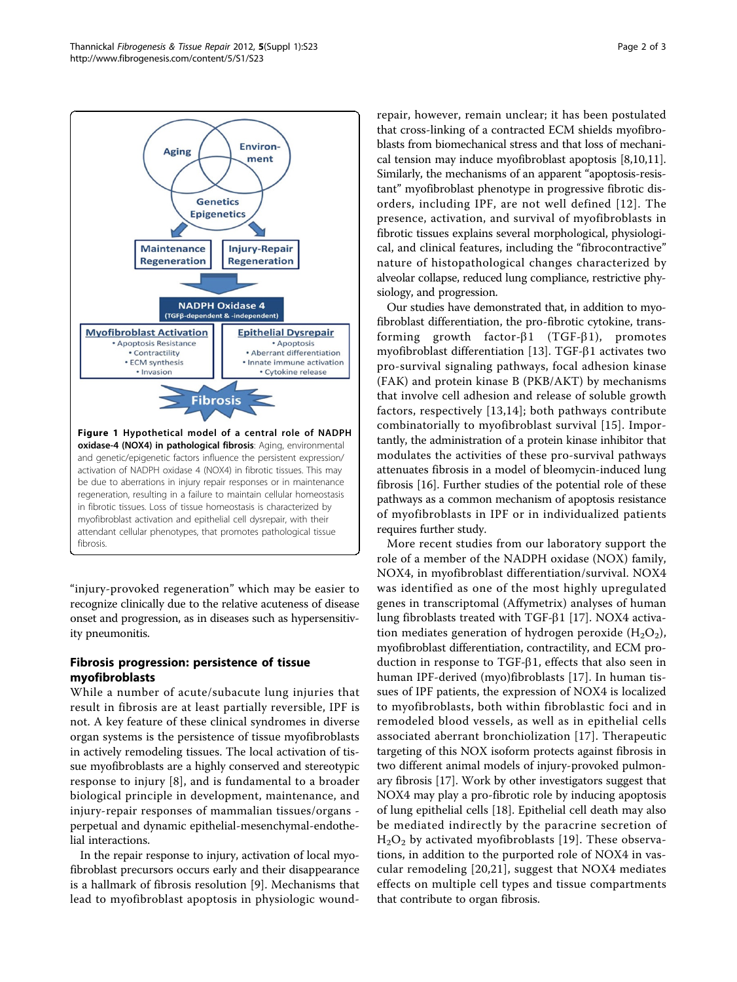<span id="page-1-0"></span>

"injury-provoked regeneration" which may be easier to recognize clinically due to the relative acuteness of disease onset and progression, as in diseases such as hypersensitivity pneumonitis.

## Fibrosis progression: persistence of tissue myofibroblasts

While a number of acute/subacute lung injuries that result in fibrosis are at least partially reversible, IPF is not. A key feature of these clinical syndromes in diverse organ systems is the persistence of tissue myofibroblasts in actively remodeling tissues. The local activation of tissue myofibroblasts are a highly conserved and stereotypic response to injury [[8](#page-2-0)], and is fundamental to a broader biological principle in development, maintenance, and injury-repair responses of mammalian tissues/organs perpetual and dynamic epithelial-mesenchymal-endothelial interactions.

In the repair response to injury, activation of local myofibroblast precursors occurs early and their disappearance is a hallmark of fibrosis resolution [[9\]](#page-2-0). Mechanisms that lead to myofibroblast apoptosis in physiologic woundrepair, however, remain unclear; it has been postulated that cross-linking of a contracted ECM shields myofibroblasts from biomechanical stress and that loss of mechanical tension may induce myofibroblast apoptosis [[8](#page-2-0),[10](#page-2-0),[11](#page-2-0)]. Similarly, the mechanisms of an apparent "apoptosis-resistant" myofibroblast phenotype in progressive fibrotic disorders, including IPF, are not well defined [\[12\]](#page-2-0). The presence, activation, and survival of myofibroblasts in fibrotic tissues explains several morphological, physiological, and clinical features, including the "fibrocontractive" nature of histopathological changes characterized by alveolar collapse, reduced lung compliance, restrictive physiology, and progression.

Our studies have demonstrated that, in addition to myofibroblast differentiation, the pro-fibrotic cytokine, transforming growth factor- $\beta$ 1 (TGF- $\beta$ 1), promotes myofibroblast differentiation [[13](#page-2-0)]. TGF- $\beta$ 1 activates two pro-survival signaling pathways, focal adhesion kinase (FAK) and protein kinase B (PKB/AKT) by mechanisms that involve cell adhesion and release of soluble growth factors, respectively [[13,14\]](#page-2-0); both pathways contribute combinatorially to myofibroblast survival [[15](#page-2-0)]. Importantly, the administration of a protein kinase inhibitor that modulates the activities of these pro-survival pathways attenuates fibrosis in a model of bleomycin-induced lung fibrosis [\[16\]](#page-2-0). Further studies of the potential role of these pathways as a common mechanism of apoptosis resistance of myofibroblasts in IPF or in individualized patients requires further study.

More recent studies from our laboratory support the role of a member of the NADPH oxidase (NOX) family, NOX4, in myofibroblast differentiation/survival. NOX4 was identified as one of the most highly upregulated genes in transcriptomal (Affymetrix) analyses of human lung fibroblasts treated with TGF- $\beta$ 1 [\[17](#page-2-0)]. NOX4 activation mediates generation of hydrogen peroxide  $(H_2O_2)$ , myofibroblast differentiation, contractility, and ECM production in response to TGF- $\beta$ 1, effects that also seen in human IPF-derived (myo)fibroblasts [[17\]](#page-2-0). In human tissues of IPF patients, the expression of NOX4 is localized to myofibroblasts, both within fibroblastic foci and in remodeled blood vessels, as well as in epithelial cells associated aberrant bronchiolization [[17](#page-2-0)]. Therapeutic targeting of this NOX isoform protects against fibrosis in two different animal models of injury-provoked pulmonary fibrosis [\[17](#page-2-0)]. Work by other investigators suggest that NOX4 may play a pro-fibrotic role by inducing apoptosis of lung epithelial cells [[18\]](#page-2-0). Epithelial cell death may also be mediated indirectly by the paracrine secretion of  $H<sub>2</sub>O<sub>2</sub>$  by activated myofibroblasts [[19](#page-2-0)]. These observations, in addition to the purported role of NOX4 in vascular remodeling [[20](#page-2-0),[21\]](#page-2-0), suggest that NOX4 mediates effects on multiple cell types and tissue compartments that contribute to organ fibrosis.